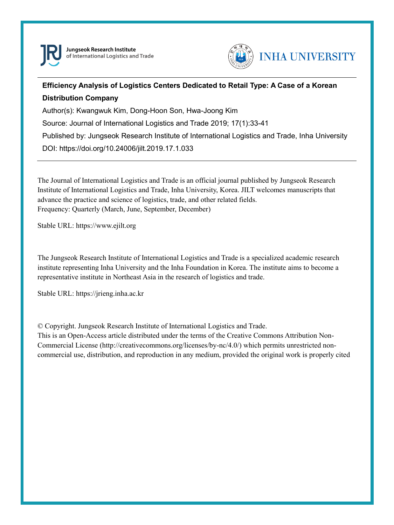



# **Efficiency Analysis of Logistics Centers Dedicated to Retail Type: A Case of a Korean Distribution Company**

Author(s): Kwangwuk Kim, Dong-Hoon Son, Hwa-Joong Kim

Source: Journal of International Logistics and Trade 2019; 17(1):33-41

Published by: Jungseok Research Institute of International Logistics and Trade, Inha University

DOI: https://doi.org/10.24006/jilt.2019.17.1.033

The Journal of International Logistics and Trade is an official journal published by Jungseok Research Institute of International Logistics and Trade, Inha University, Korea. JILT welcomes manuscripts that advance the practice and science of logistics, trade, and other related fields. Frequency: Quarterly (March, June, September, December)

Stable URL: https://www.ejilt.org

The Jungseok Research Institute of International Logistics and Trade is a specialized academic research institute representing Inha University and the Inha Foundation in Korea. The institute aims to become a representative institute in Northeast Asia in the research of logistics and trade.

Stable URL: https://jrieng.inha.ac.kr

© Copyright. Jungseok Research Institute of International Logistics and Trade.

This is an Open-Access article distributed under the terms of the Creative Commons Attribution Non-Commercial License (http://creativecommons.org/licenses/by-nc/4.0/) which permits unrestricted noncommercial use, distribution, and reproduction in any medium, provided the original work is properly cited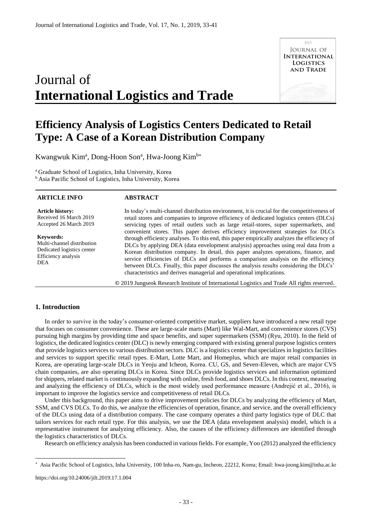# Journal of **International Logistics and Trade**



# **Efficiency Analysis of Logistics Centers Dedicated to Retail Type: A Case of a Korean Distribution Company**

Kwangwuk Kim<sup>a</sup>, Dong-Hoon Son<sup>a</sup>, Hwa-Joong Kim<sup>b\*</sup>

<sup>a</sup> Graduate School of Logistics, Inha University, Korea <sup>b</sup> Asia Pacific School of Logistics, Inha University, Korea

### **ARTICLE INFO**

### **ABSTRACT**

**Article history:**  Received 16 March 2019 Accepted 26 March 2019

**Keywords:**  Multi-channel distribution Dedicated logistics center Efficiency analysis DEA

In today's multi-channel distribution environment, it is crucial for the competitiveness of retail stores and companies to improve efficiency of dedicated logistics centers (DLCs) servicing types of retail outlets such as large retail-stores, super supermarkets, and convenient stores. This paper derives efficiency improvement strategies for DLCs through efficiency analyses. To this end, this paper empirically analyzes the efficiency of DLCs by applying DEA (data envelopment analysis) approaches using real data from a Korean distribution company. In detail, this paper analyzes operations, finance, and service efficiencies of DLCs and performs a comparison analysis on the efficiency between DLCs. Finally, this paper discusses the analysis results considering the DLCs' characteristics and derives managerial and operational implications.

**©** 2019 Jungseok Research Institute of International Logistics and Trade All rights reserved.

# **1. Introduction**

In order to survive in the today's consumer-oriented competitive market, suppliers have introduced a new retail type that focuses on consumer convenience. These are large-scale marts (Mart) like Wal-Mart, and convenience stores (CVS) pursuing high margins by providing time and space benefits, and super supermarkets (SSM) (Ryu, 2010). In the field of logistics, the dedicated logistics center (DLC) is newly emerging compared with existing general purpose logistics centers that provide logistics services to various distribution sectors. DLC is a logistics center that specializes in logistics facilities and services to support specific retail types. E-Mart, Lotte Mart, and Homeplus, which are major retail companies in Korea, are operating large-scale DLCs in Yeoju and Icheon, Korea. CU, GS, and Seven-Eleven, which are major CVS chain companies, are also operating DLCs in Korea. Since DLCs provide logistics services and information optimized for shippers, related market is continuously expanding with online, fresh food, and shoes DLCs. In this context, measuring and analyzing the efficiency of DLCs, which is the most widely used performance measure (Andrejić et al., 2016), is important to improve the logistics service and competitiveness of retail DLCs.

Under this background, this paper aims to drive improvement policies for DLCs by analyzing the efficiency of Mart, SSM, and CVS DLCs. To do this, we analyze the efficiencies of operation, finance, and service, and the overall efficiency of the DLCs using data of a distribution company. The case company operates a third party logistics type of DLC that tailors services for each retail type. For this analysis, we use the DEA (data envelopment analysis) model, which is a representative instrument for analyzing efficiency. Also, the causes of the efficiency differences are identified through the logistics characteristics of DLCs.

Research on efficiency analysis has been conducted in various fields. For example, Yoo (2012) analyzed the efficiency

https://doi.org/10.24006/jilt.2019.17.1.004

-

Asia Pacific School of Logistics, Inha University, 100 Inha-ro, Nam-gu, Incheon, 22212, Korea; Email: hwa-joong.kim@inha.ac.kr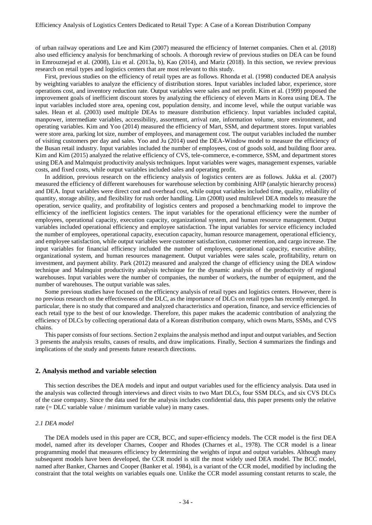of urban railway operations and Lee and Kim (2007) measured the efficiency of Internet companies. Chen et al. (2018) also used efficiency analysis for benchmarking of schools. A thorough review of previous studies on DEA can be found in Emrouznejad et al. (2008), Liu et al. (2013a, b), Kao (2014), and Mariz (2018). In this section, we review previous research on retail types and logistics centers that are most relevant to this study.

First, previous studies on the efficiency of retail types are as follows. Rhonda et al. (1998) conducted DEA analysis by weighting variables to analyze the efficiency of distribution stores. Input variables included labor, experience, store operations cost, and inventory reduction rate. Output variables were sales and net profit. Kim et al. (1999) proposed the improvement goals of inefficient discount stores by analyzing the efficiency of eleven Marts in Korea using DEA. The input variables included store area, opening cost, population density, and income level, while the output variable was sales. Hean et al. (2003) used multiple DEAs to measure distribution efficiency. Input variables included capital, manpower, intermediate variables, accessibility, assortment, arrival rate, information volume, store environment, and operating variables. Kim and Yoo (2014) measured the efficiency of Mart, SSM, and department stores. Input variables were store area, parking lot size, number of employees, and management cost. The output variables included the number of visiting customers per day and sales. Yoo and Ju (2014) used the DEA-Window model to measure the efficiency of the Busan retail industry. Input variables included the number of employees, cost of goods sold, and building floor area. Kim and Kim (2015) analyzed the relative efficiency of CVS, tele-commerce, e-commerce, SSM, and department stores using DEA and Malmquist productivity analysis techniques. Input variables were wages, management expenses, variable costs, and fixed costs, while output variables included sales and operating profit.

In addition, previous research on the efficiency analysis of logistics centers are as follows. Jukka et al. (2007) measured the efficiency of different warehouses for warehouse selection by combining AHP (analytic hierarchy process) and DEA. Input variables were direct cost and overhead cost, while output variables included time, quality, reliability of quantity, storage ability, and flexibility for rush order handling. Lim (2008) used multilevel DEA models to measure the operation, service quality, and profitability of logistics centers and proposed a benchmarking model to improve the efficiency of the inefficient logistics centers. The input variables for the operational efficiency were the number of employees, operational capacity, execution capacity, organizational system, and human resource management. Output variables included operational efficiency and employee satisfaction. The input variables for service efficiency included the number of employees, operational capacity, execution capacity, human resource management, operational efficiency, and employee satisfaction, while output variables were customer satisfaction, customer retention, and cargo increase. The input variables for financial efficiency included the number of employees, operational capacity, executive ability, organizational system, and human resources management. Output variables were sales scale, profitability, return on investment, and payment ability. Park (2012) measured and analyzed the change of efficiency using the DEA window technique and Malmquist productivity analysis technique for the dynamic analysis of the productivity of regional warehouses. Input variables were the number of companies, the number of workers, the number of equipment, and the number of warehouses. The output variable was sales.

Some previous studies have focused on the efficiency analysis of retail types and logistics centers. However, there is no previous research on the effectiveness of the DLC, as the importance of DLCs on retail types has recently emerged. In particular, there is no study that compared and analyzed characteristics and operation, finance, and service efficiencies of each retail type to the best of our knowledge. Therefore, this paper makes the academic contribution of analyzing the efficiency of DLCs by collecting operational data of a Korean distribution company, which owns Marts, SSMs, and CVS chains.

This paper consists of four sections. Section 2 explains the analysis method and input and output variables, and Section 3 presents the analysis results, causes of results, and draw implications. Finally, Section 4 summarizes the findings and implications of the study and presents future research directions.

## **2. Analysis method and variable selection**

This section describes the DEA models and input and output variables used for the efficiency analysis. Data used in the analysis was collected through interviews and direct visits to two Mart DLCs, four SSM DLCs, and six CVS DLCs of the case company. Since the data used for the analysis includes confidential data, this paper presents only the relative rate (= DLC variable value / minimum variable value) in many cases.

#### *2.1 DEA model*

The DEA models used in this paper are CCR, BCC, and super-efficiency models. The CCR model is the first DEA model, named after its developer Charnes, Cooper and Rhodes (Charnes et al., 1978). The CCR model is a linear programming model that measures efficiency by determining the weights of input and output variables. Although many subsequent models have been developed, the CCR model is still the most widely used DEA model. The BCC model, named after Banker, Charnes and Cooper (Banker et al. 1984), is a variant of the CCR model, modified by including the constraint that the total weights on variables equals one. Unlike the CCR model assuming constant returns to scale, the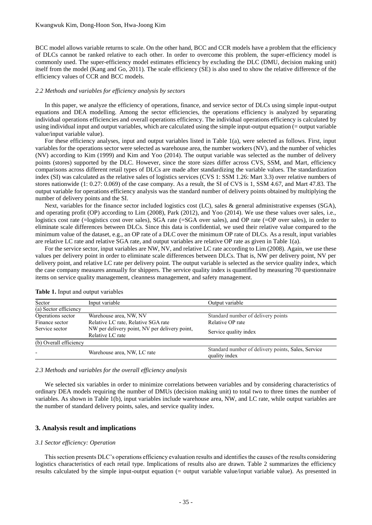BCC model allows variable returns to scale. On the other hand, BCC and CCR models have a problem that the efficiency of DLCs cannot be ranked relative to each other. In order to overcome this problem, the super-efficiency model is commonly used. The super-efficiency model estimates efficiency by excluding the DLC (DMU, decision making unit) itself from the model (Kang and Go, 2011). The scale efficiency (SE) is also used to show the relative difference of the efficiency values of CCR and BCC models.

#### *2.2 Methods and variables for efficiency analysis by sectors*

In this paper, we analyze the efficiency of operations, finance, and service sector of DLCs using simple input-output equations and DEA modelling. Among the sector efficiencies, the operations efficiency is analyzed by separating individual operations efficiencies and overall operations efficiency. The individual operations efficiency is calculated by using individual input and output variables, which are calculated using the simple input-output equation (= output variable value/input variable value).

For these efficiency analyses, input and output variables listed in Table 1(a), were selected as follows. First, input variables for the operations sector were selected as warehouse area, the number workers (NV), and the number of vehicles (NV) according to Kim (1999) and Kim and Yoo (2014). The output variable was selected as the number of delivery points (stores) supported by the DLC. However, since the store sizes differ across CVS, SSM, and Mart, efficiency comparisons across different retail types of DLCs are made after standardizing the variable values. The standardization index (SI) was calculated as the relative sales of logistics services (CVS 1: SSM 1.26: Mart 3.3) over relative numbers of stores nationwide (1: 0.27: 0.069) of the case company. As a result, the SI of CVS is 1, SSM 4.67, and Mart 47.83. The output variable for operations efficiency analysis was the standard number of delivery points obtained by multiplying the number of delivery points and the SI.

Next, variables for the finance sector included logistics cost (LC), sales  $\&$  general administrative expenses (SGA), and operating profit (OP) according to Lim (2008), Park (2012), and Yoo (2014). We use these values over sales, i.e., logistics cost rate (=logistics cost over sales), SGA rate (=SGA over sales), and OP rate (=OP over sales), in order to eliminate scale differences between DLCs. Since this data is confidential, we used their relative value compared to the minimum value of the dataset, e.g., an OP rate of a DLC over the minimum OP rate of DLCs. As a result, input variables are relative LC rate and relative SGA rate, and output variables are relative OP rate as given in Table 1(a).

For the service sector, input variables are NW, NV, and relative LC rate according to Lim (2008). Again, we use these values per delivery point in order to eliminate scale differences between DLCs. That is, NW per delivery point, NV per delivery point, and relative LC rate per delivery point. The output variable is selected as the service quality index, which the case company measures annually for shippers. The service quality index is quantified by measuring 70 questionnaire items on service quality management, cleanness management, and safety management.

| Sector                 | Input variable                                                    | Output variable                                                     |
|------------------------|-------------------------------------------------------------------|---------------------------------------------------------------------|
| (a) Sector efficiency  |                                                                   |                                                                     |
| Operations sector      | Warehouse area, NW, NV                                            | Standard number of delivery points                                  |
| Finance sector         | Relative LC rate, Relative SGA rate                               | Relative OP rate                                                    |
| Service sector         | NW per delivery point, NV per delivery point,<br>Relative LC rate | Service quality index                                               |
| (b) Overall efficiency |                                                                   |                                                                     |
|                        | Warehouse area, NW, LC rate                                       | Standard number of delivery points, Sales, Service<br>quality index |

**Table 1.** Input and output variables

*2.3 Methods and variables for the overall efficiency analysis*

We selected six variables in order to minimize correlations between variables and by considering characteristics of ordinary DEA models requiring the number of DMUs (decision making unit) to total two to three times the number of variables. As shown in Table 1(b), input variables include warehouse area, NW, and LC rate, while output variables are the number of standard delivery points, sales, and service quality index.

# **3. Analysis result and implications**

#### *3.1 Sector efficiency: Operation*

This section presents DLC's operations efficiency evaluation results and identifies the causes of the results considering logistics characteristics of each retail type. Implications of results also are drawn. Table 2 summarizes the efficiency results calculated by the simple input-output equation (= output variable value/input variable value). As presented in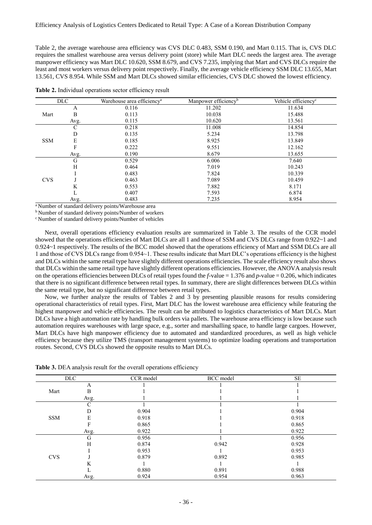Table 2, the average warehouse area efficiency was CVS DLC 0.483, SSM 0.190, and Mart 0.115. That is, CVS DLC requires the smallest warehouse area versus delivery point (store) while Mart DLC needs the largest area. The average manpower efficiency was Mart DLC 10.620, SSM 8.679, and CVS 7.235, implying that Mart and CVS DLCs require the least and most workers versus delivery point respectively. Finally, the average vehicle efficiency SSM DLC 13.655, Mart 13.561, CVS 8.954. While SSM and Mart DLCs showed similar efficiencies, CVS DLC showed the lowest efficiency.

| <b>DLC</b> |      | Warehouse area efficiency <sup>a</sup> | Manpower efficiency <sup>b</sup> | Vehicle efficiency <sup>c</sup> |
|------------|------|----------------------------------------|----------------------------------|---------------------------------|
|            | A    | 0.116                                  | 11.202                           | 11.634                          |
| Mart       | B    | 0.113                                  | 10.038                           | 15.488                          |
|            | Avg. | 0.115                                  | 10.620                           | 13.561                          |
|            | С    | 0.218                                  | 11.008                           | 14.854                          |
|            | D    | 0.135                                  | 5.234                            | 13.798                          |
| <b>SSM</b> | E    | 0.185                                  | 8.925                            | 13.849                          |
|            | F    | 0.222                                  | 9.551                            | 12.162                          |
|            | Avg. | 0.190                                  | 8.679                            | 13.655                          |
|            | G    | 0.529                                  | 6.006                            | 7.640                           |
|            | H    | 0.464                                  | 7.019                            | 10.243                          |
|            |      | 0.483                                  | 7.824                            | 10.339                          |
| <b>CVS</b> |      | 0.463                                  | 7.089                            | 10.459                          |
|            | N    | 0.553                                  | 7.882                            | 8.171                           |
|            |      | 0.407                                  | 7.593                            | 6.874                           |
|            | Avg. | 0.483                                  | 7.235                            | 8.954                           |

**Table 2.** Individual operations sector efficiency result

<sup>a</sup>Number of standard delivery points/Warehouse area

 $^{\rm b}$  Number of standard delivery points/Number of workers

<sup>c</sup> Number of standard delivery points/Number of vehicles

Next, overall operations efficiency evaluation results are summarized in Table 3. The results of the CCR model showed that the operations efficiencies of Mart DLCs are all 1 and those of SSM and CVS DLCs range from 0.922~1 and 0.924~1 respectively. The results of the BCC model showed that the operations efficiency of Mart and SSM DLCs are all 1 and those of CVS DLCs range from 0.954~1. These results indicate that Mart DLC's operations efficiency is the highest and DLCs within the same retail type have slightly different operations efficiencies. The scale efficiency result also shows that DLCs within the same retail type have slightly different operations efficiencies. However, the ANOVA analysis result on the operations efficiencies between DLCs of retail types found the *f*-value = 1.376 and *p*-value = 0.206, which indicates that there is no significant difference between retail types. In summary, there are slight differences between DLCs within the same retail type, but no significant difference between retail types.

Now, we further analyze the results of Tables 2 and 3 by presenting plausible reasons for results considering operational characteristics of retail types. First, Mart DLC has the lowest warehouse area efficiency while featuring the highest manpower and vehicle efficiencies. The result can be attributed to logistics characteristics of Mart DLCs. Mart DLCs have a high automation rate by handling bulk orders via pallets. The warehouse area efficiency is low because such automation requires warehouses with large space, e.g., sorter and marshalling space, to handle large cargoes. However, Mart DLCs have high manpower efficiency due to automated and standardized procedures, as well as high vehicle efficiency because they utilize TMS (transport management systems) to optimize loading operations and transportation routes. Second, CVS DLCs showed the opposite results to Mart DLCs.

| DLC        |      | CCR model | BCC model | <b>SE</b> |
|------------|------|-----------|-----------|-----------|
|            | А    |           |           |           |
| Mart       |      |           |           |           |
|            | Avg. |           |           |           |
|            |      |           |           |           |
|            |      | 0.904     |           | 0.904     |
| <b>SSM</b> |      | 0.918     |           | 0.918     |
|            |      | 0.865     |           | 0.865     |
|            | Avg. | 0.922     |           | 0.922     |
|            | tτ   | 0.956     |           | 0.956     |
|            |      | 0.874     | 0.942     | 0.928     |
|            |      | 0.953     |           | 0.953     |
| <b>CVS</b> |      | 0.879     | 0.892     | 0.985     |
|            |      |           |           |           |
|            |      | 0.880     | 0.891     | 0.988     |
|            | Avg. | 0.924     | 0.954     | 0.963     |

**Table 3.** DEA analysis result for the overall operations efficiency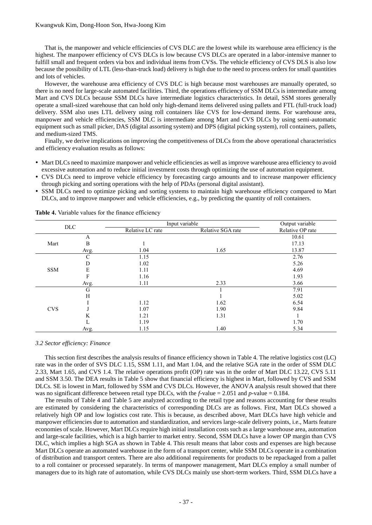That is, the manpower and vehicle efficiencies of CVS DLC are the lowest while its warehouse area efficiency is the highest. The manpower efficiency of CVS DLCs is low because CVS DLCs are operated in a labor-intensive manner to fulfill small and frequent orders via box and individual items from CVSs. The vehicle efficiency of CVS DLS is also low because the possibility of LTL (less-than-truck load) delivery is high due to the need to process orders for small quantities and lots of vehicles.

However, the warehouse area efficiency of CVS DLC is high because most warehouses are manually operated, so there is no need for large-scale automated facilities. Third, the operations efficiency of SSM DLCs is intermediate among Mart and CVS DLCs because SSM DLCs have intermediate logistics characteristics. In detail, SSM stores generally operate a small-sized warehouse that can hold only high-demand items delivered using pallets and FTL (full-truck load) delivery. SSM also uses LTL delivery using roll containers like CVS for low-demand items. For warehouse area, manpower and vehicle efficiencies, SSM DLC is intermediate among Mart and CVS DLCs by using semi-automatic equipment such as small picker, DAS (digital assorting system) and DPS (digital picking system), roll containers, pallets, and medium-sized TMS.

Finally, we derive implications on improving the competitiveness of DLCs from the above operational characteristics and efficiency evaluation results as follows:

- Mart DLCs need to maximize manpower and vehicle efficiencies as well as improve warehouse area efficiency to avoid excessive automation and to reduce initial investment costs through optimizing the use of automation equipment.
- CVS DLCs need to improve vehicle efficiency by forecasting cargo amounts and to increase manpower efficiency through picking and sorting operations with the help of PDAs (personal digital assistant).
- SSM DLCs need to optimize picking and sorting systems to maintain high warehouse efficiency compared to Mart DLCs, and to improve manpower and vehicle efficiencies, e.g., by predicting the quantity of roll containers.

| <b>DLC</b> |      |                  | Input variable    | Output variable  |
|------------|------|------------------|-------------------|------------------|
|            |      | Relative LC rate | Relative SGA rate | Relative OP rate |
|            | A    |                  |                   | 10.61            |
| Mart       | в    |                  |                   | 17.13            |
|            | Avg. | .04              | 1.65              | 13.87            |
|            |      | 1.15             |                   | 2.76             |
|            |      | 1.02             |                   | 5.26             |
| <b>SSM</b> |      | 1.11             |                   | 4.69             |
|            |      | 1.16             |                   | 1.93             |
|            | Avg. |                  | 2.33              | 3.66             |
|            | Ġ    |                  |                   | 7.91             |
|            | Н    |                  |                   | 5.02             |
|            |      | 1.12             | 1.62              | 6.54             |
| <b>CVS</b> |      | 1.07             | 1.90              | 9.84             |
|            |      | 1.21             | 1.31              |                  |
|            |      | 1.19             |                   | 1.70             |
|            | Avg. | 1.15             | 1.40              | 5.34             |

**Table 4.** Variable values for the finance efficiency

#### *3.2 Sector efficiency: Finance*

This section first describes the analysis results of finance efficiency shown in Table 4. The relative logistics cost (LC) rate was in the order of SVS DLC 1.15, SSM 1.11, and Mart 1.04, and the relative SGA rate in the order of SSM DLC 2.33, Mart 1.65, and CVS 1.4. The relative operations profit (OP) rate was in the order of Mart DLC 13.22, CVS 5.11 and SSM 3.50. The DEA results in Table 5 show that financial efficiency is highest in Mart, followed by CVS and SSM DLCs. SE is lowest in Mart, followed by SSM and CVS DLCs. However, the ANOVA analysis result showed that there was no significant difference between retail type DLCs, with the  $f$ -value = 2.051 and  $p$ -value = 0.184.

The results of Table 4 and Table 5 are analyzed according to the retail type and reasons accounting for these results are estimated by considering the characteristics of corresponding DLCs are as follows. First, Mart DLCs showed a relatively high OP and low logistics cost rate. This is because, as described above, Mart DLCs have high vehicle and manpower efficiencies due to automation and standardization, and services large-scale delivery points, i.e., Marts feature economies of scale. However, Mart DLCs require high initial installation costs such as a large warehouse area, automation and large-scale facilities, which is a high barrier to market entry. Second, SSM DLCs have a lower OP margin than CVS DLC, which implies a high SGA as shown in Table 4. This result means that labor costs and expenses are high because Mart DLCs operate an automated warehouse in the form of a transport center, while SSM DLCs operate in a combination of distribution and transport centers. There are also additional requirements for products to be repackaged from a pallet to a roll container or processed separately. In terms of manpower management, Mart DLCs employ a small number of managers due to its high rate of automation, while CVS DLCs mainly use short-term workers. Third, SSM DLCs have a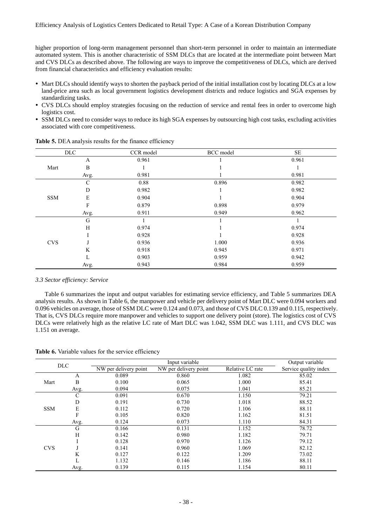higher proportion of long-term management personnel than short-term personnel in order to maintain an intermediate automated system. This is another characteristic of SSM DLCs that are located at the intermediate point between Mart and CVS DLCs as described above. The following are ways to improve the competitiveness of DLCs, which are derived from financial characteristics and efficiency evaluation results:

- Mart DLCs should identify ways to shorten the payback period of the initial installation cost by locating DLCs at a low land-price area such as local government logistics development districts and reduce logistics and SGA expenses by standardizing tasks.
- CVS DLCs should employ strategies focusing on the reduction of service and rental fees in order to overcome high logistics cost.
- SSM DLCs need to consider ways to reduce its high SGA expenses by outsourcing high cost tasks, excluding activities associated with core competitiveness.

| <b>DLC</b> |      | CCR model | BCC model | <b>SE</b> |
|------------|------|-----------|-----------|-----------|
|            | A    | 0.961     |           | 0.961     |
| Mart       | B    |           |           |           |
|            | Avg. | 0.981     |           | 0.981     |
|            | С    | 0.88      | 0.896     | 0.982     |
|            | D    | 0.982     |           | 0.982     |
| <b>SSM</b> | E    | 0.904     |           | 0.904     |
|            |      | 0.879     | 0.898     | 0.979     |
|            | Avg. | 0.911     | 0.949     | 0.962     |
|            | G    |           |           |           |
|            | H    | 0.974     |           | 0.974     |
|            |      | 0.928     |           | 0.928     |
| <b>CVS</b> |      | 0.936     | 1.000     | 0.936     |
|            | K    | 0.918     | 0.945     | 0.971     |
|            |      | 0.903     | 0.959     | 0.942     |
|            | Avg. | 0.943     | 0.984     | 0.959     |

**Table 5.** DEA analysis results for the finance efficiency

## *3.3 Sector efficiency: Service*

Table 6 summarizes the input and output variables for estimating service efficiency, and Table 5 summarizes DEA analysis results. As shown in Table 6, the manpower and vehicle per delivery point of Mart DLC were 0.094 workers and 0.096 vehicles on average, those of SSM DLC were 0.124 and 0.073, and those of CVS DLC 0.139 and 0.115, respectively. That is, CVS DLCs require more manpower and vehicles to support one delivery point (store). The logistics cost of CVS DLCs were relatively high as the relative LC rate of Mart DLC was 1.042, SSM DLC was 1.111, and CVS DLC was 1.151 on average.

| Table 6. Variable values for the service efficiency |  |
|-----------------------------------------------------|--|
|-----------------------------------------------------|--|

|            |      |                       | Input variable        |                  | Output variable       |
|------------|------|-----------------------|-----------------------|------------------|-----------------------|
| <b>DLC</b> |      | NW per delivery point | NW per delivery point | Relative LC rate | Service quality index |
|            | A    | 0.089                 | 0.860                 | 1.082            | 85.02                 |
| Mart       | B    | 0.100                 | 0.065                 | 1.000            | 85.41                 |
|            | Avg. | 0.094                 | 0.075                 | 1.041            | 85.21                 |
|            |      | 0.091                 | 0.670                 | 1.150            | 79.21                 |
|            | D    | 0.191                 | 0.730                 | 1.018            | 88.52                 |
| <b>SSM</b> | E    | 0.112                 | 0.720                 | 1.106            | 88.11                 |
|            | F    | 0.105                 | 0.820                 | 1.162            | 81.51                 |
|            | Avg. | 0.124                 | 0.073                 | 1.110            | 84.31                 |
|            | G    | 0.166                 | 0.131                 | 1.152            | 78.72                 |
|            | Н    | 0.142                 | 0.980                 | 1.182            | 79.71                 |
|            |      | 0.128                 | 0.970                 | 1.126            | 79.12                 |
| <b>CVS</b> |      | 0.141                 | 0.960                 | 1.069            | 82.12                 |
|            | K    | 0.127                 | 0.122                 | 1.209            | 73.02                 |
|            |      | 1.132                 | 0.146                 | 1.186            | 88.11                 |
|            | Avg. | 0.139                 | 0.115                 | 1.154            | 80.11                 |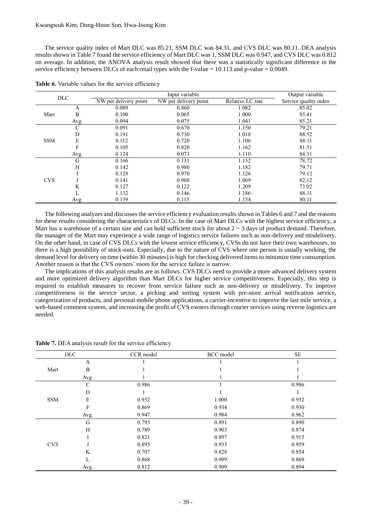The service quality index of Mart DLC was 85.21, SSM DLC was 84.31, and CVS DLC was 80.11. DEA analysis results shown in Table 7 found the service efficiency of Mart DLC was 1, SSM DLC was 0.947, and CVS DLC was 0.812 on average. In addition, the ANOVA analysis result showed that there was a statistically significant difference in the service efficiency between DLCs of each retail types with the f-value = 10.113 and p-value = 0.0049.

| DLC        |      |                       | Input variable        |                  | Output variable       |
|------------|------|-----------------------|-----------------------|------------------|-----------------------|
|            |      | NW per delivery point | NW per delivery point | Relative LC rate | Service quality index |
|            | A    | 0.089                 | 0.860                 | 1.082            | 85.02                 |
| Mart       | B    | 0.100                 | 0.065                 | 1.000            | 85.41                 |
|            | Avg. | 0.094                 | 0.075                 | 1.041            | 85.21                 |
|            | C    | 0.091                 | 0.670                 | 1.150            | 79.21                 |
|            | D    | 0.191                 | 0.730                 | 1.018            | 88.52                 |
| <b>SSM</b> | E    | 0.112                 | 0.720                 | 1.106            | 88.11                 |
|            | F    | 0.105                 | 0.820                 | 1.162            | 81.51                 |
|            | Avg. | 0.124                 | 0.073                 | 1.110            | 84.31                 |
|            | G    | 0.166                 | 0.131                 | 1.152            | 78.72                 |
|            | H    | 0.142                 | 0.980                 | 1.182            | 79.71                 |
|            |      | 0.128                 | 0.970                 | 1.126            | 79.12                 |
| <b>CVS</b> |      | 0.141                 | 0.960                 | 1.069            | 82.12                 |
|            | K    | 0.127                 | 0.122                 | 1.209            | 73.02                 |
|            |      | 1.132                 | 0.146                 | 1.186            | 88.11                 |
|            | Avg. | 0.139                 | 0.115                 | 1.154            | 80.11                 |

|  |  |  |  |  | Table 6. Variable values for the service efficiency |
|--|--|--|--|--|-----------------------------------------------------|
|--|--|--|--|--|-----------------------------------------------------|

The following analyzes and discusses the service efficiency evaluation results shown in Tables 6 and 7 and the reasons for these results considering the characteristics of DLCs. In the case of Mart DLCs with the highest service efficiency, a Mart has a warehouse of a certain size and can hold sufficient stock for about  $2 \sim 3$  days of product demand. Therefore, the manager of the Mart may experience a wide range of logistics service failures such as non-delivery and misdelivery. On the other hand, in case of CVS DLCs with the lowest service efficiency, CVSs do not have their own warehouses, so there is a high possibility of stock-outs. Especially, due to the nature of CVS where one person is usually working, the demand level for delivery on time (within 30 minutes) is high for checking delivered items to minimize time consumption. Another reason is that the CVS owners' room for the service failure is narrow.

The implications of this analysis results are as follows. CVS DLCs need to provide a more advanced delivery system and more optimized delivery algorithm than Mart DLCs for higher service competitiveness. Especially, this step is required to establish measures to recover from service failure such as non-delivery or misdelivery. To improve competitiveness in the service sector, a picking and sorting system with pre-store arrival notification service, categorization of products, and personal mobile phone applications, a carrier-incentive to improve the last mile service, a web-based comment system, and increasing the profit of CVS owners through courier services using reverse logistics are needed.

|            | <b>DLC</b> | CCR model | BCC model | <b>SE</b> |
|------------|------------|-----------|-----------|-----------|
|            | A          |           |           |           |
| Mart       | B          |           |           |           |
|            | Avg.       |           |           |           |
|            |            | 0.986     |           | 0.986     |
|            |            |           |           |           |
| <b>SSM</b> | E          | 0.932     | 1.000     | 0.932     |
|            | F          | 0.869     | 0.934     | 0.930     |
|            | Avg.       | 0.947     | 0.984     | 0.962     |
|            | G          | 0.793     | 0.891     | 0.890     |
|            | H          | 0.789     | 0.903     | 0.874     |
|            |            | 0.821     | 0.897     | 0.915     |
| <b>CVS</b> |            | 0.895     | 0.933     | 0.959     |
|            | K          | 0.707     | 0.828     | 0.854     |
|            |            | 0.868     | 0.999     | 0.869     |
|            | Avg.       | 0.812     | 0.909     | 0.894     |

Table 7. DEA analysis result for the service efficiency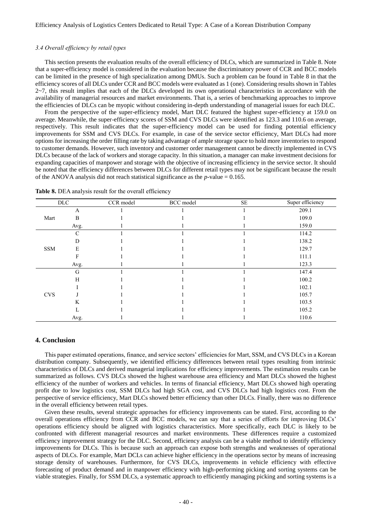#### *3.4 Overall efficiency by retail types*

This section presents the evaluation results of the overall efficiency of DLCs, which are summarized in Table 8. Note that a super-efficiency model is considered in the evaluation because the discriminatory power of CCR and BCC models can be limited in the presence of high specialization among DMUs. Such a problem can be found in Table 8 in that the efficiency scores of all DLCs under CCR and BCC models were evaluated as 1 (one). Considering results shown in Tables  $2\nu$ , this result implies that each of the DLCs developed its own operational characteristics in accordance with the availability of managerial resources and market environments. That is, a series of benchmarking approaches to improve the efficiencies of DLCs can be myopic without considering in-depth understanding of managerial issues for each DLC.

From the perspective of the super-efficiency model, Mart DLC featured the highest super-efficiency at 159.0 on average. Meanwhile, the super-efficiency scores of SSM and CVS DLCs were identified as 123.3 and 110.6 on average, respectively. This result indicates that the super-efficiency model can be used for finding potential efficiency improvements for SSM and CVS DLCs. For example, in case of the service sector efficiency, Mart DLCs had more options for increasing the order filling rate by taking advantage of ample storage space to hold more inventories to respond to customer demands. However, such inventory and customer order management cannot be directly implemented in CVS DLCs because of the lack of workers and storage capacity. In this situation, a manager can make investment decisions for expanding capacities of manpower and storage with the objective of increasing efficiency in the service sector. It should be noted that the efficiency differences between DLCs for different retail types may not be significant because the result of the ANOVA analysis did not reach statistical significance as the  $p$ -value = 0.165.

|            | $_{\rm DLC}$ | CCR model | BCC model | $\rm SE$ | Super efficiency |
|------------|--------------|-----------|-----------|----------|------------------|
|            | A            |           |           |          | 209.1            |
| Mart       | B            |           |           |          | 109.0            |
|            | Avg.         |           |           |          | 159.0            |
|            | C            |           |           |          | 114.2            |
|            |              |           |           |          | 138.2            |
| <b>SSM</b> | E            |           |           |          | 129.7            |
|            |              |           |           |          | 111.1            |
|            | Avg.         |           |           |          | 123.3            |
|            | G            |           |           |          | 147.4            |
|            |              |           |           |          | 100.2            |
|            |              |           |           |          | 102.1            |
| <b>CVS</b> |              |           |           |          | 105.7            |
|            |              |           |           |          | 103.5            |
|            |              |           |           |          | 105.2            |
|            | Avg.         |           |           |          | 110.6            |

Table 8. DEA analysis result for the overall efficiency

# **4. Conclusion**

This paper estimated operations, finance, and service sectors' efficiencies for Mart, SSM, and CVS DLCs in a Korean distribution company. Subsequently, we identified efficiency differences between retail types resulting from intrinsic characteristics of DLCs and derived managerial implications for efficiency improvements. The estimation results can be summarized as follows. CVS DLCs showed the highest warehouse area efficiency and Mart DLCs showed the highest efficiency of the number of workers and vehicles. In terms of financial efficiency, Mart DLCs showed high operating profit due to low logistics cost, SSM DLCs had high SGA cost, and CVS DLCs had high logistics cost. From the perspective of service efficiency, Mart DLCs showed better efficiency than other DLCs. Finally, there was no difference in the overall efficiency between retail types.

Given these results, several strategic approaches for efficiency improvements can be stated. First, according to the overall operations efficiency from CCR and BCC models, we can say that a series of efforts for improving DLCs' operations efficiency should be aligned with logistics characteristics. More specifically, each DLC is likely to be confronted with different managerial resources and market environments. These differences require a customized efficiency improvement strategy for the DLC. Second, efficiency analysis can be a viable method to identify efficiency improvements for DLCs. This is because such an approach can expose both strengths and weaknesses of operational aspects of DLCs. For example, Mart DCLs can achieve higher efficiency in the operations sector by means of increasing storage density of warehouses. Furthermore, for CVS DLCs, improvements in vehicle efficiency with effective forecasting of product demand and in manpower efficiency with high-performing picking and sorting systems can be viable strategies. Finally, for SSM DLCs, a systematic approach to efficiently managing picking and sorting systems is a